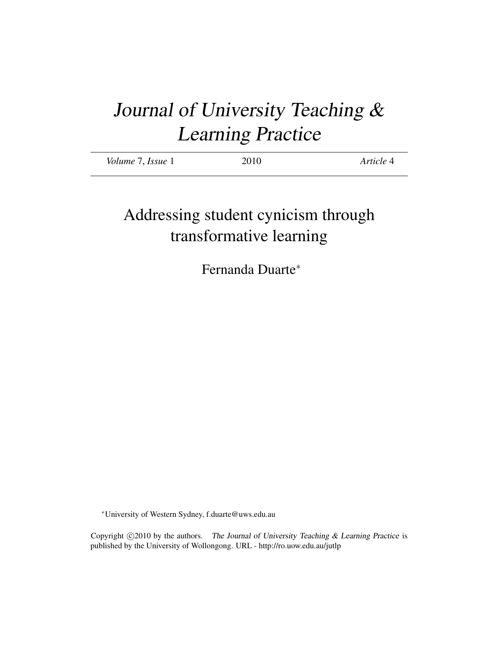# Journal of University Teaching & Learning Practice

| <i>Volume 7, Issue 1</i> | 2010 | Article 4 |
|--------------------------|------|-----------|
|                          |      |           |

# Addressing student cynicism through transformative learning

Fernanda Duarte<sup>∗</sup>

<sup>∗</sup>University of Western Sydney, f.duarte@uws.edu.au

Copyright  $\odot$ 2010 by the authors. The Journal of University Teaching & Learning Practice is published by the University of Wollongong. URL - http://ro.uow.edu.au/jutlp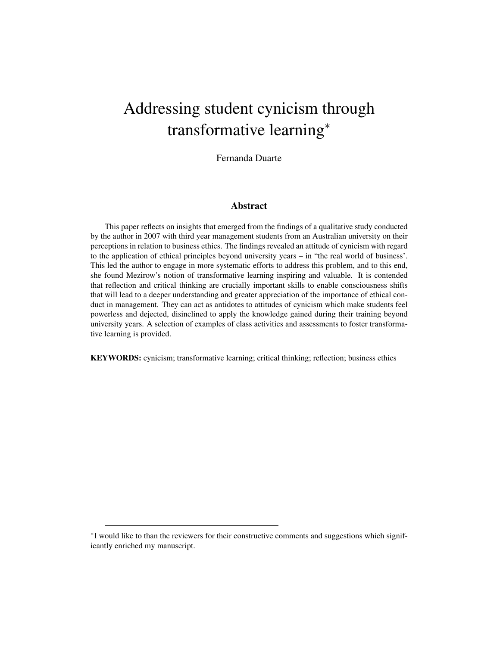# Addressing student cynicism through transformative learning<sup>∗</sup>

Fernanda Duarte

#### Abstract

This paper reflects on insights that emerged from the findings of a qualitative study conducted by the author in 2007 with third year management students from an Australian university on their perceptions in relation to business ethics. The findings revealed an attitude of cynicism with regard to the application of ethical principles beyond university years – in "the real world of business'. This led the author to engage in more systematic efforts to address this problem, and to this end, she found Mezirow's notion of transformative learning inspiring and valuable. It is contended that reflection and critical thinking are crucially important skills to enable consciousness shifts that will lead to a deeper understanding and greater appreciation of the importance of ethical conduct in management. They can act as antidotes to attitudes of cynicism which make students feel powerless and dejected, disinclined to apply the knowledge gained during their training beyond university years. A selection of examples of class activities and assessments to foster transformative learning is provided.

KEYWORDS: cynicism; transformative learning; critical thinking; reflection; business ethics

<sup>∗</sup> I would like to than the reviewers for their constructive comments and suggestions which significantly enriched my manuscript.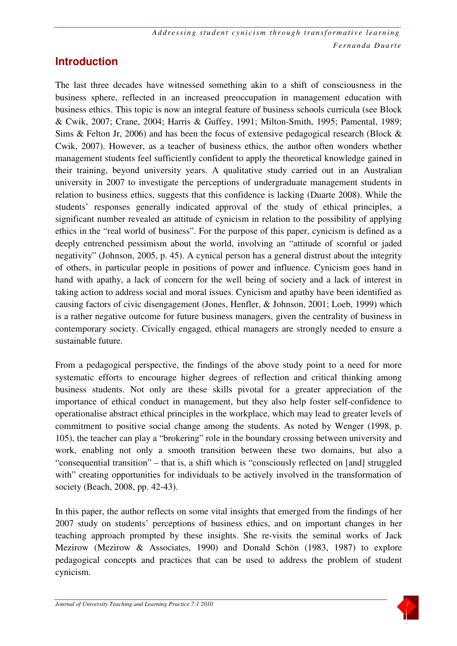#### **Introduction**

The last three decades have witnessed something akin to a shift of consciousness in the business sphere, reflected in an increased preoccupation in management education with business ethics. This topic is now an integral feature of business schools curricula (see Block & Cwik, 2007; Crane, 2004; Harris & Guffey, 1991; Milton-Smith, 1995; Pamental, 1989; Sims & Felton Jr, 2006) and has been the focus of extensive pedagogical research (Block  $\&$ Cwik, 2007). However, as a teacher of business ethics, the author often wonders whether management students feel sufficiently confident to apply the theoretical knowledge gained in their training, beyond university years. A qualitative study carried out in an Australian university in 2007 to investigate the perceptions of undergraduate management students in relation to business ethics, suggests that this confidence is lacking (Duarte 2008). While the students' responses generally indicated approval of the study of ethical principles, a significant number revealed an attitude of cynicism in relation to the possibility of applying ethics in the "real world of business". For the purpose of this paper, cynicism is defined as a deeply entrenched pessimism about the world, involving an "attitude of scornful or jaded negativity" (Johnson, 2005, p. 45). A cynical person has a general distrust about the integrity of others, in particular people in positions of power and influence. Cynicism goes hand in hand with apathy, a lack of concern for the well being of society and a lack of interest in taking action to address social and moral issues. Cynicism and apathy have been identified as causing factors of civic disengagement (Jones, Henfler, & Johnson, 2001; Loeb, 1999) which is a rather negative outcome for future business managers, given the centrality of business in contemporary society. Civically engaged, ethical managers are strongly needed to ensure a sustainable future.

From a pedagogical perspective, the findings of the above study point to a need for more systematic efforts to encourage higher degrees of reflection and critical thinking among business students. Not only are these skills pivotal for a greater appreciation of the importance of ethical conduct in management, but they also help foster self-confidence to operationalise abstract ethical principles in the workplace, which may lead to greater levels of commitment to positive social change among the students. As noted by Wenger (1998, p. 105), the teacher can play a "brokering" role in the boundary crossing between university and work, enabling not only a smooth transition between these two domains, but also a "consequential transition" – that is, a shift which is "consciously reflected on [and] struggled with" creating opportunities for individuals to be actively involved in the transformation of society (Beach, 2008, pp. 42-43).

In this paper, the author reflects on some vital insights that emerged from the findings of her 2007 study on students' perceptions of business ethics, and on important changes in her teaching approach prompted by these insights. She re-visits the seminal works of Jack Mezirow (Mezirow & Associates, 1990) and Donald Schön (1983, 1987) to explore pedagogical concepts and practices that can be used to address the problem of student cynicism.

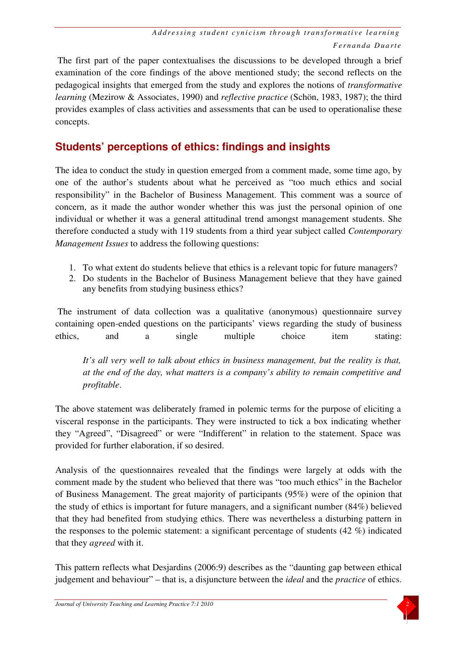The first part of the paper contextualises the discussions to be developed through a brief examination of the core findings of the above mentioned study; the second reflects on the pedagogical insights that emerged from the study and explores the notions of *transformative learning* (Mezirow & Associates, 1990) and *reflective practice* (Schön, 1983, 1987); the third provides examples of class activities and assessments that can be used to operationalise these concepts.

## **Students' perceptions of ethics: findings and insights**

The idea to conduct the study in question emerged from a comment made, some time ago, by one of the author's students about what he perceived as "too much ethics and social responsibility" in the Bachelor of Business Management. This comment was a source of concern, as it made the author wonder whether this was just the personal opinion of one individual or whether it was a general attitudinal trend amongst management students. She therefore conducted a study with 119 students from a third year subject called *Contemporary Management Issues* to address the following questions:

- 1. To what extent do students believe that ethics is a relevant topic for future managers?
- 2. Do students in the Bachelor of Business Management believe that they have gained any benefits from studying business ethics?

 The instrument of data collection was a qualitative (anonymous) questionnaire survey containing open-ended questions on the participants' views regarding the study of business ethics, and a single multiple choice item stating:

*It's all very well to talk about ethics in business management, but the reality is that, at the end of the day, what matters is a company's ability to remain competitive and profitable*.

The above statement was deliberately framed in polemic terms for the purpose of eliciting a visceral response in the participants. They were instructed to tick a box indicating whether they "Agreed", "Disagreed" or were "Indifferent" in relation to the statement. Space was provided for further elaboration, if so desired.

Analysis of the questionnaires revealed that the findings were largely at odds with the comment made by the student who believed that there was "too much ethics" in the Bachelor of Business Management. The great majority of participants (95%) were of the opinion that the study of ethics is important for future managers, and a significant number (84%) believed that they had benefited from studying ethics. There was nevertheless a disturbing pattern in the responses to the polemic statement: a significant percentage of students (42 %) indicated that they *agreed* with it.

This pattern reflects what Desjardins (2006:9) describes as the "daunting gap between ethical judgement and behaviour" – that is, a disjuncture between the *ideal* and the *practice* of ethics.

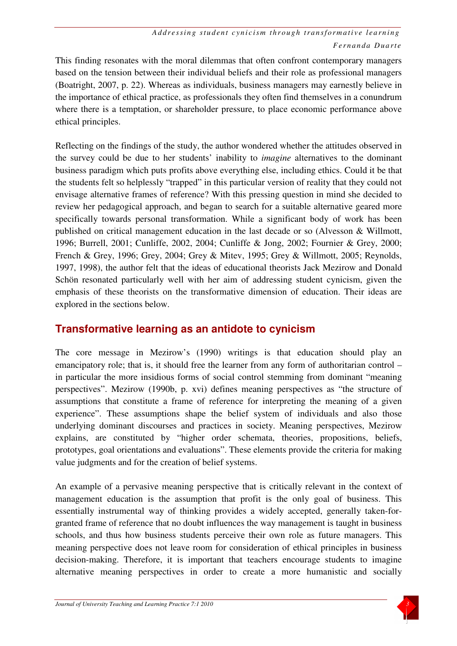This finding resonates with the moral dilemmas that often confront contemporary managers based on the tension between their individual beliefs and their role as professional managers (Boatright, 2007, p. 22). Whereas as individuals, business managers may earnestly believe in the importance of ethical practice, as professionals they often find themselves in a conundrum where there is a temptation, or shareholder pressure, to place economic performance above ethical principles.

Reflecting on the findings of the study, the author wondered whether the attitudes observed in the survey could be due to her students' inability to *imagine* alternatives to the dominant business paradigm which puts profits above everything else, including ethics. Could it be that the students felt so helplessly "trapped" in this particular version of reality that they could not envisage alternative frames of reference? With this pressing question in mind she decided to review her pedagogical approach, and began to search for a suitable alternative geared more specifically towards personal transformation. While a significant body of work has been published on critical management education in the last decade or so (Alvesson & Willmott, 1996; Burrell, 2001; Cunliffe, 2002, 2004; Cunliffe & Jong, 2002; Fournier & Grey, 2000; French & Grey, 1996; Grey, 2004; Grey & Mitev, 1995; Grey & Willmott, 2005; Reynolds, 1997, 1998), the author felt that the ideas of educational theorists Jack Mezirow and Donald Schön resonated particularly well with her aim of addressing student cynicism, given the emphasis of these theorists on the transformative dimension of education. Their ideas are explored in the sections below.

### **Transformative learning as an antidote to cynicism**

The core message in Mezirow's (1990) writings is that education should play an emancipatory role; that is, it should free the learner from any form of authoritarian control – in particular the more insidious forms of social control stemming from dominant "meaning perspectives". Mezirow (1990b, p. xvi) defines meaning perspectives as "the structure of assumptions that constitute a frame of reference for interpreting the meaning of a given experience". These assumptions shape the belief system of individuals and also those underlying dominant discourses and practices in society. Meaning perspectives, Mezirow explains, are constituted by "higher order schemata, theories, propositions, beliefs, prototypes, goal orientations and evaluations". These elements provide the criteria for making value judgments and for the creation of belief systems.

An example of a pervasive meaning perspective that is critically relevant in the context of management education is the assumption that profit is the only goal of business. This essentially instrumental way of thinking provides a widely accepted, generally taken-forgranted frame of reference that no doubt influences the way management is taught in business schools, and thus how business students perceive their own role as future managers. This meaning perspective does not leave room for consideration of ethical principles in business decision-making. Therefore, it is important that teachers encourage students to imagine alternative meaning perspectives in order to create a more humanistic and socially

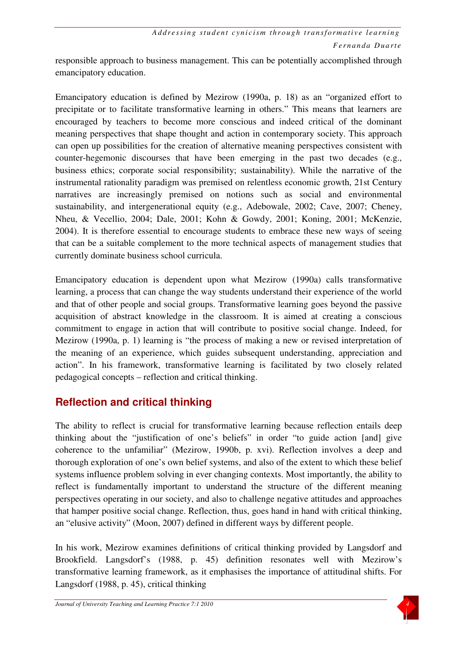responsible approach to business management. This can be potentially accomplished through emancipatory education.

Emancipatory education is defined by Mezirow (1990a, p. 18) as an "organized effort to precipitate or to facilitate transformative learning in others." This means that learners are encouraged by teachers to become more conscious and indeed critical of the dominant meaning perspectives that shape thought and action in contemporary society. This approach can open up possibilities for the creation of alternative meaning perspectives consistent with counter-hegemonic discourses that have been emerging in the past two decades (e.g., business ethics; corporate social responsibility; sustainability). While the narrative of the instrumental rationality paradigm was premised on relentless economic growth, 21st Century narratives are increasingly premised on notions such as social and environmental sustainability, and intergenerational equity (e.g., Adebowale, 2002; Cave, 2007; Cheney, Nheu, & Vecellio, 2004; Dale, 2001; Kohn & Gowdy, 2001; Koning, 2001; McKenzie, 2004). It is therefore essential to encourage students to embrace these new ways of seeing that can be a suitable complement to the more technical aspects of management studies that currently dominate business school curricula.

Emancipatory education is dependent upon what Mezirow (1990a) calls transformative learning, a process that can change the way students understand their experience of the world and that of other people and social groups. Transformative learning goes beyond the passive acquisition of abstract knowledge in the classroom. It is aimed at creating a conscious commitment to engage in action that will contribute to positive social change. Indeed, for Mezirow (1990a, p. 1) learning is "the process of making a new or revised interpretation of the meaning of an experience, which guides subsequent understanding, appreciation and action". In his framework, transformative learning is facilitated by two closely related pedagogical concepts – reflection and critical thinking.

# **Reflection and critical thinking**

The ability to reflect is crucial for transformative learning because reflection entails deep thinking about the "justification of one's beliefs" in order "to guide action [and] give coherence to the unfamiliar" (Mezirow, 1990b, p. xvi). Reflection involves a deep and thorough exploration of one's own belief systems, and also of the extent to which these belief systems influence problem solving in ever changing contexts. Most importantly, the ability to reflect is fundamentally important to understand the structure of the different meaning perspectives operating in our society, and also to challenge negative attitudes and approaches that hamper positive social change. Reflection, thus, goes hand in hand with critical thinking, an "elusive activity" (Moon, 2007) defined in different ways by different people.

In his work, Mezirow examines definitions of critical thinking provided by Langsdorf and Brookfield. Langsdorf's (1988, p. 45) definition resonates well with Mezirow's transformative learning framework, as it emphasises the importance of attitudinal shifts. For Langsdorf (1988, p. 45), critical thinking

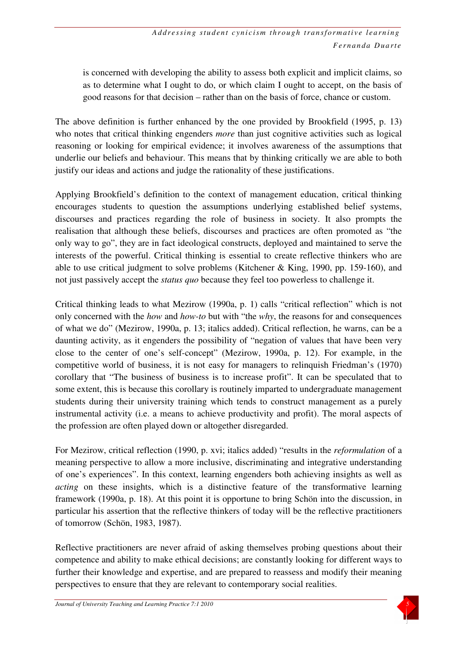is concerned with developing the ability to assess both explicit and implicit claims, so as to determine what I ought to do, or which claim I ought to accept, on the basis of good reasons for that decision – rather than on the basis of force, chance or custom.

The above definition is further enhanced by the one provided by Brookfield (1995, p. 13) who notes that critical thinking engenders *more* than just cognitive activities such as logical reasoning or looking for empirical evidence; it involves awareness of the assumptions that underlie our beliefs and behaviour. This means that by thinking critically we are able to both justify our ideas and actions and judge the rationality of these justifications.

Applying Brookfield's definition to the context of management education, critical thinking encourages students to question the assumptions underlying established belief systems, discourses and practices regarding the role of business in society. It also prompts the realisation that although these beliefs, discourses and practices are often promoted as "the only way to go", they are in fact ideological constructs, deployed and maintained to serve the interests of the powerful. Critical thinking is essential to create reflective thinkers who are able to use critical judgment to solve problems (Kitchener & King, 1990, pp. 159-160), and not just passively accept the *status quo* because they feel too powerless to challenge it.

Critical thinking leads to what Mezirow (1990a, p. 1) calls "critical reflection" which is not only concerned with the *how* and *how-to* but with "the *why*, the reasons for and consequences of what we do" (Mezirow, 1990a, p. 13; italics added). Critical reflection, he warns, can be a daunting activity, as it engenders the possibility of "negation of values that have been very close to the center of one's self-concept" (Mezirow, 1990a, p. 12). For example, in the competitive world of business, it is not easy for managers to relinquish Friedman's (1970) corollary that "The business of business is to increase profit". It can be speculated that to some extent, this is because this corollary is routinely imparted to undergraduate management students during their university training which tends to construct management as a purely instrumental activity (i.e. a means to achieve productivity and profit). The moral aspects of the profession are often played down or altogether disregarded.

For Mezirow, critical reflection (1990, p. xvi; italics added) "results in the *reformulation* of a meaning perspective to allow a more inclusive, discriminating and integrative understanding of one's experiences". In this context, learning engenders both achieving insights as well as *acting* on these insights, which is a distinctive feature of the transformative learning framework (1990a, p. 18). At this point it is opportune to bring Schön into the discussion, in particular his assertion that the reflective thinkers of today will be the reflective practitioners of tomorrow (Schön, 1983, 1987).

Reflective practitioners are never afraid of asking themselves probing questions about their competence and ability to make ethical decisions; are constantly looking for different ways to further their knowledge and expertise, and are prepared to reassess and modify their meaning perspectives to ensure that they are relevant to contemporary social realities.

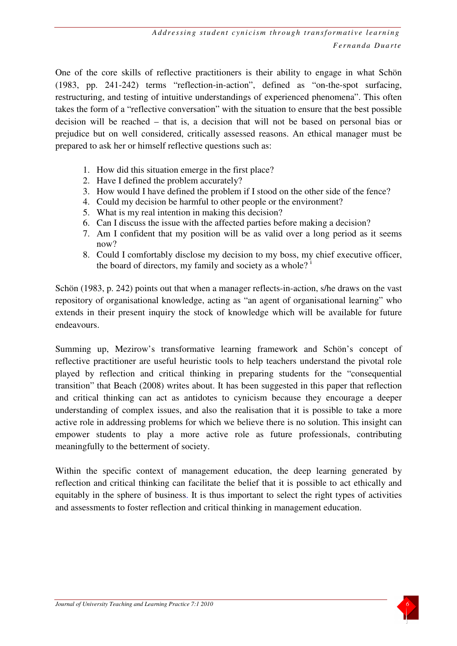One of the core skills of reflective practitioners is their ability to engage in what Schön (1983, pp. 241-242) terms "reflection-in-action", defined as "on-the-spot surfacing, restructuring, and testing of intuitive understandings of experienced phenomena". This often takes the form of a "reflective conversation" with the situation to ensure that the best possible decision will be reached – that is, a decision that will not be based on personal bias or prejudice but on well considered, critically assessed reasons. An ethical manager must be prepared to ask her or himself reflective questions such as:

- 1. How did this situation emerge in the first place?
- 2. Have I defined the problem accurately?
- 3. How would I have defined the problem if I stood on the other side of the fence?
- 4. Could my decision be harmful to other people or the environment?
- 5. What is my real intention in making this decision?
- 6. Can I discuss the issue with the affected parties before making a decision?
- 7. Am I confident that my position will be as valid over a long period as it seems now?
- 8. Could I comfortably disclose my decision to my boss, my chief executive officer, the board of directors, my family and society as a whole?

Schön (1983, p. 242) points out that when a manager reflects-in-action, s/he draws on the vast repository of organisational knowledge, acting as "an agent of organisational learning" who extends in their present inquiry the stock of knowledge which will be available for future endeavours.

Summing up, Mezirow's transformative learning framework and Schön's concept of reflective practitioner are useful heuristic tools to help teachers understand the pivotal role played by reflection and critical thinking in preparing students for the "consequential transition" that Beach (2008) writes about. It has been suggested in this paper that reflection and critical thinking can act as antidotes to cynicism because they encourage a deeper understanding of complex issues, and also the realisation that it is possible to take a more active role in addressing problems for which we believe there is no solution. This insight can empower students to play a more active role as future professionals, contributing meaningfully to the betterment of society.

Within the specific context of management education, the deep learning generated by reflection and critical thinking can facilitate the belief that it is possible to act ethically and equitably in the sphere of business. It is thus important to select the right types of activities and assessments to foster reflection and critical thinking in management education.

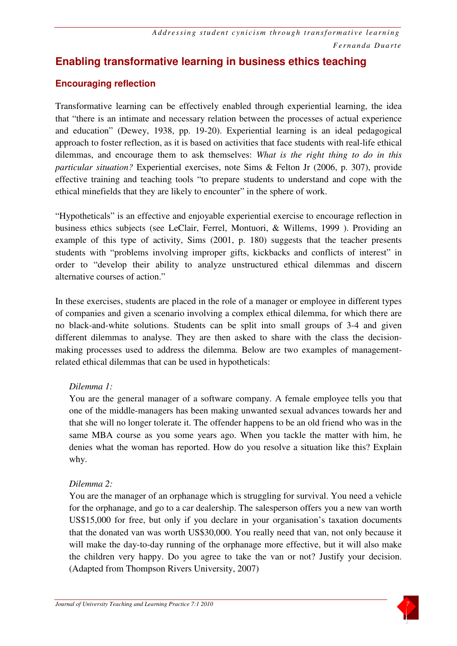## **Enabling transformative learning in business ethics teaching**

#### **Encouraging reflection**

Transformative learning can be effectively enabled through experiential learning, the idea that "there is an intimate and necessary relation between the processes of actual experience and education" (Dewey, 1938, pp. 19-20). Experiential learning is an ideal pedagogical approach to foster reflection, as it is based on activities that face students with real-life ethical dilemmas, and encourage them to ask themselves: *What is the right thing to do in this particular situation?* Experiential exercises, note Sims & Felton Jr (2006, p. 307), provide effective training and teaching tools "to prepare students to understand and cope with the ethical minefields that they are likely to encounter" in the sphere of work.

"Hypotheticals" is an effective and enjoyable experiential exercise to encourage reflection in business ethics subjects (see LeClair, Ferrel, Montuori, & Willems, 1999 ). Providing an example of this type of activity, Sims (2001, p. 180) suggests that the teacher presents students with "problems involving improper gifts, kickbacks and conflicts of interest" in order to "develop their ability to analyze unstructured ethical dilemmas and discern alternative courses of action."

In these exercises, students are placed in the role of a manager or employee in different types of companies and given a scenario involving a complex ethical dilemma, for which there are no black-and-white solutions. Students can be split into small groups of 3-4 and given different dilemmas to analyse. They are then asked to share with the class the decisionmaking processes used to address the dilemma. Below are two examples of managementrelated ethical dilemmas that can be used in hypotheticals:

#### *Dilemma 1:*

You are the general manager of a software company. A female employee tells you that one of the middle-managers has been making unwanted sexual advances towards her and that she will no longer tolerate it. The offender happens to be an old friend who was in the same MBA course as you some years ago. When you tackle the matter with him, he denies what the woman has reported. How do you resolve a situation like this? Explain why.

#### *Dilemma 2:*

You are the manager of an orphanage which is struggling for survival. You need a vehicle for the orphanage, and go to a car dealership. The salesperson offers you a new van worth US\$15,000 for free, but only if you declare in your organisation's taxation documents that the donated van was worth US\$30,000. You really need that van, not only because it will make the day-to-day running of the orphanage more effective, but it will also make the children very happy. Do you agree to take the van or not? Justify your decision. (Adapted from Thompson Rivers University, 2007)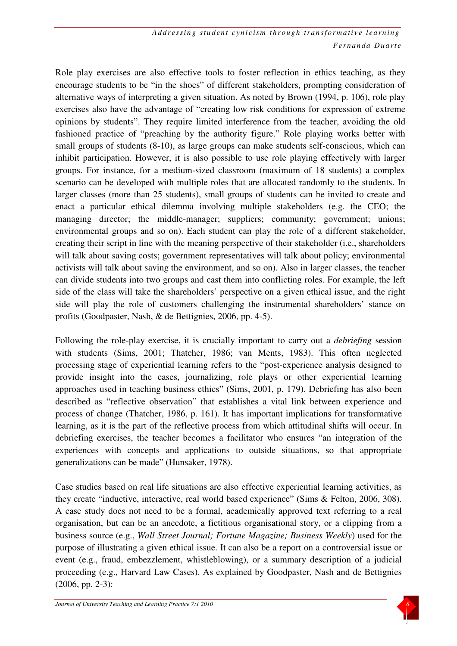Role play exercises are also effective tools to foster reflection in ethics teaching, as they encourage students to be "in the shoes" of different stakeholders, prompting consideration of alternative ways of interpreting a given situation. As noted by Brown (1994, p. 106), role play exercises also have the advantage of "creating low risk conditions for expression of extreme opinions by students". They require limited interference from the teacher, avoiding the old fashioned practice of "preaching by the authority figure." Role playing works better with small groups of students (8-10), as large groups can make students self-conscious, which can inhibit participation. However, it is also possible to use role playing effectively with larger groups. For instance, for a medium-sized classroom (maximum of 18 students) a complex scenario can be developed with multiple roles that are allocated randomly to the students. In larger classes (more than 25 students), small groups of students can be invited to create and enact a particular ethical dilemma involving multiple stakeholders (e.g. the CEO; the managing director; the middle-manager; suppliers; community; government; unions; environmental groups and so on). Each student can play the role of a different stakeholder, creating their script in line with the meaning perspective of their stakeholder (i.e., shareholders will talk about saving costs; government representatives will talk about policy; environmental activists will talk about saving the environment, and so on). Also in larger classes, the teacher can divide students into two groups and cast them into conflicting roles. For example, the left side of the class will take the shareholders' perspective on a given ethical issue, and the right side will play the role of customers challenging the instrumental shareholders' stance on profits (Goodpaster, Nash, & de Bettignies, 2006, pp. 4-5).

Following the role-play exercise, it is crucially important to carry out a *debriefing* session with students (Sims, 2001; Thatcher, 1986; van Ments, 1983). This often neglected processing stage of experiential learning refers to the "post-experience analysis designed to provide insight into the cases, journalizing, role plays or other experiential learning approaches used in teaching business ethics" (Sims, 2001, p. 179). Debriefing has also been described as "reflective observation" that establishes a vital link between experience and process of change (Thatcher, 1986, p. 161). It has important implications for transformative learning, as it is the part of the reflective process from which attitudinal shifts will occur. In debriefing exercises, the teacher becomes a facilitator who ensures "an integration of the experiences with concepts and applications to outside situations, so that appropriate generalizations can be made" (Hunsaker, 1978).

Case studies based on real life situations are also effective experiential learning activities, as they create "inductive, interactive, real world based experience" (Sims & Felton, 2006, 308). A case study does not need to be a formal, academically approved text referring to a real organisation, but can be an anecdote, a fictitious organisational story, or a clipping from a business source (e.g., *Wall Street Journal; Fortune Magazine; Business Weekly*) used for the purpose of illustrating a given ethical issue. It can also be a report on a controversial issue or event (e.g., fraud, embezzlement, whistleblowing), or a summary description of a judicial proceeding (e.g., Harvard Law Cases). As explained by Goodpaster, Nash and de Bettignies (2006, pp. 2-3):

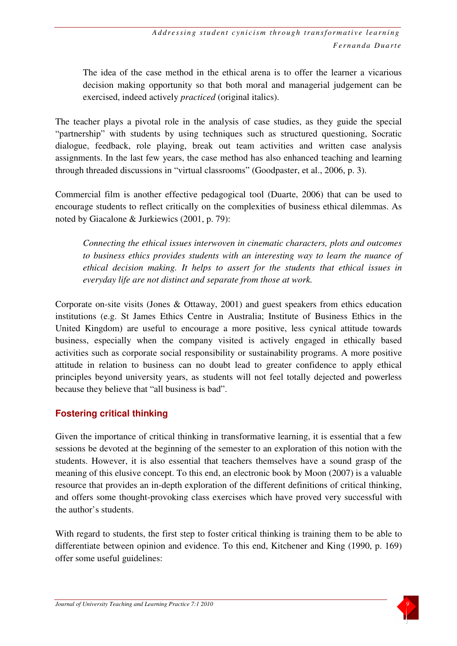The idea of the case method in the ethical arena is to offer the learner a vicarious decision making opportunity so that both moral and managerial judgement can be exercised, indeed actively *practiced* (original italics).

The teacher plays a pivotal role in the analysis of case studies, as they guide the special "partnership" with students by using techniques such as structured questioning, Socratic dialogue, feedback, role playing, break out team activities and written case analysis assignments. In the last few years, the case method has also enhanced teaching and learning through threaded discussions in "virtual classrooms" (Goodpaster, et al., 2006, p. 3).

Commercial film is another effective pedagogical tool (Duarte, 2006) that can be used to encourage students to reflect critically on the complexities of business ethical dilemmas. As noted by Giacalone & Jurkiewics (2001, p. 79):

*Connecting the ethical issues interwoven in cinematic characters, plots and outcomes to business ethics provides students with an interesting way to learn the nuance of ethical decision making. It helps to assert for the students that ethical issues in everyday life are not distinct and separate from those at work.* 

Corporate on-site visits (Jones & Ottaway, 2001) and guest speakers from ethics education institutions (e.g. St James Ethics Centre in Australia; Institute of Business Ethics in the United Kingdom) are useful to encourage a more positive, less cynical attitude towards business, especially when the company visited is actively engaged in ethically based activities such as corporate social responsibility or sustainability programs. A more positive attitude in relation to business can no doubt lead to greater confidence to apply ethical principles beyond university years, as students will not feel totally dejected and powerless because they believe that "all business is bad".

#### **Fostering critical thinking**

Given the importance of critical thinking in transformative learning, it is essential that a few sessions be devoted at the beginning of the semester to an exploration of this notion with the students. However, it is also essential that teachers themselves have a sound grasp of the meaning of this elusive concept. To this end, an electronic book by Moon (2007) is a valuable resource that provides an in-depth exploration of the different definitions of critical thinking, and offers some thought-provoking class exercises which have proved very successful with the author's students.

With regard to students, the first step to foster critical thinking is training them to be able to differentiate between opinion and evidence. To this end, Kitchener and King (1990, p. 169) offer some useful guidelines: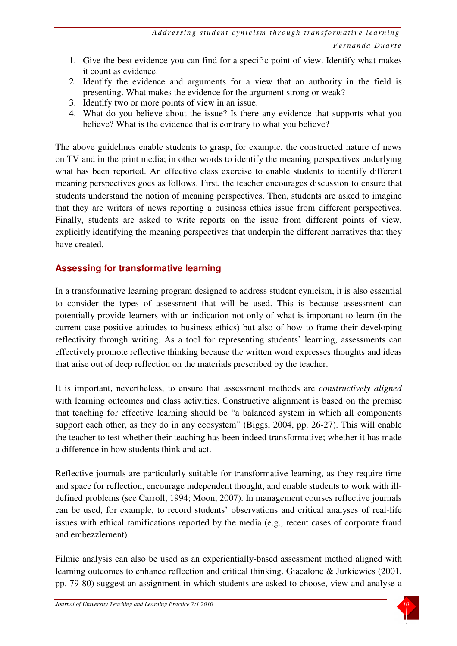- 1. Give the best evidence you can find for a specific point of view. Identify what makes it count as evidence.
- 2. Identify the evidence and arguments for a view that an authority in the field is presenting. What makes the evidence for the argument strong or weak?
- 3. Identify two or more points of view in an issue.
- 4. What do you believe about the issue? Is there any evidence that supports what you believe? What is the evidence that is contrary to what you believe?

The above guidelines enable students to grasp, for example, the constructed nature of news on TV and in the print media; in other words to identify the meaning perspectives underlying what has been reported. An effective class exercise to enable students to identify different meaning perspectives goes as follows. First, the teacher encourages discussion to ensure that students understand the notion of meaning perspectives. Then, students are asked to imagine that they are writers of news reporting a business ethics issue from different perspectives. Finally, students are asked to write reports on the issue from different points of view, explicitly identifying the meaning perspectives that underpin the different narratives that they have created.

#### **Assessing for transformative learning**

In a transformative learning program designed to address student cynicism, it is also essential to consider the types of assessment that will be used. This is because assessment can potentially provide learners with an indication not only of what is important to learn (in the current case positive attitudes to business ethics) but also of how to frame their developing reflectivity through writing. As a tool for representing students' learning, assessments can effectively promote reflective thinking because the written word expresses thoughts and ideas that arise out of deep reflection on the materials prescribed by the teacher.

It is important, nevertheless, to ensure that assessment methods are *constructively aligned* with learning outcomes and class activities. Constructive alignment is based on the premise that teaching for effective learning should be "a balanced system in which all components support each other, as they do in any ecosystem" (Biggs, 2004, pp. 26-27). This will enable the teacher to test whether their teaching has been indeed transformative; whether it has made a difference in how students think and act.

Reflective journals are particularly suitable for transformative learning, as they require time and space for reflection, encourage independent thought, and enable students to work with illdefined problems (see Carroll, 1994; Moon, 2007). In management courses reflective journals can be used, for example, to record students' observations and critical analyses of real-life issues with ethical ramifications reported by the media (e.g., recent cases of corporate fraud and embezzlement).

Filmic analysis can also be used as an experientially-based assessment method aligned with learning outcomes to enhance reflection and critical thinking. Giacalone & Jurkiewics (2001, pp. 79-80) suggest an assignment in which students are asked to choose, view and analyse a

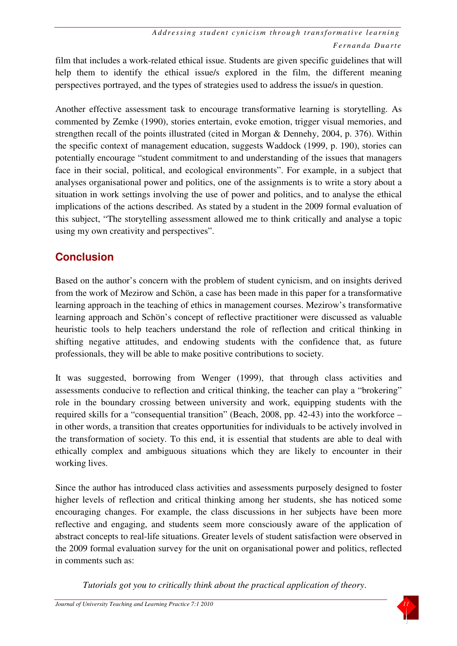film that includes a work-related ethical issue. Students are given specific guidelines that will help them to identify the ethical issue/s explored in the film, the different meaning perspectives portrayed, and the types of strategies used to address the issue/s in question.

Another effective assessment task to encourage transformative learning is storytelling. As commented by Zemke (1990), stories entertain, evoke emotion, trigger visual memories, and strengthen recall of the points illustrated (cited in Morgan & Dennehy, 2004, p. 376). Within the specific context of management education, suggests Waddock (1999, p. 190), stories can potentially encourage "student commitment to and understanding of the issues that managers face in their social, political, and ecological environments". For example, in a subject that analyses organisational power and politics, one of the assignments is to write a story about a situation in work settings involving the use of power and politics, and to analyse the ethical implications of the actions described. As stated by a student in the 2009 formal evaluation of this subject, "The storytelling assessment allowed me to think critically and analyse a topic using my own creativity and perspectives".

# **Conclusion**

Based on the author's concern with the problem of student cynicism, and on insights derived from the work of Mezirow and Schön, a case has been made in this paper for a transformative learning approach in the teaching of ethics in management courses. Mezirow's transformative learning approach and Schön's concept of reflective practitioner were discussed as valuable heuristic tools to help teachers understand the role of reflection and critical thinking in shifting negative attitudes, and endowing students with the confidence that, as future professionals, they will be able to make positive contributions to society.

It was suggested, borrowing from Wenger (1999), that through class activities and assessments conducive to reflection and critical thinking, the teacher can play a "brokering" role in the boundary crossing between university and work, equipping students with the required skills for a "consequential transition" (Beach, 2008, pp. 42-43) into the workforce – in other words, a transition that creates opportunities for individuals to be actively involved in the transformation of society. To this end, it is essential that students are able to deal with ethically complex and ambiguous situations which they are likely to encounter in their working lives.

Since the author has introduced class activities and assessments purposely designed to foster higher levels of reflection and critical thinking among her students, she has noticed some encouraging changes. For example, the class discussions in her subjects have been more reflective and engaging, and students seem more consciously aware of the application of abstract concepts to real-life situations. Greater levels of student satisfaction were observed in the 2009 formal evaluation survey for the unit on organisational power and politics, reflected in comments such as:

*Tutorials got you to critically think about the practical application of theory*.

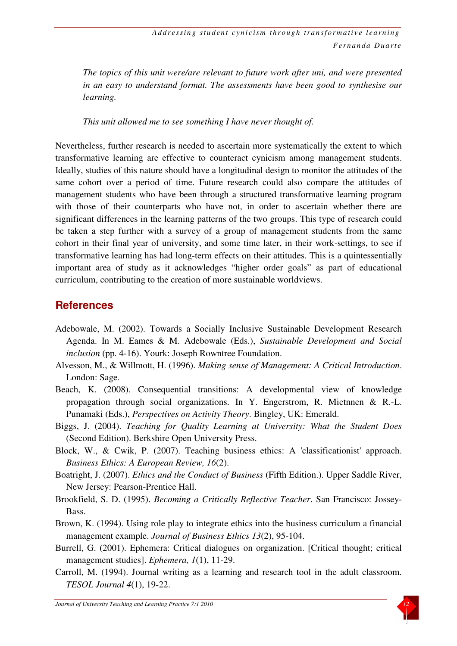*The topics of this unit were/are relevant to future work after uni, and were presented in an easy to understand format. The assessments have been good to synthesise our learning.* 

*This unit allowed me to see something I have never thought of.* 

Nevertheless, further research is needed to ascertain more systematically the extent to which transformative learning are effective to counteract cynicism among management students. Ideally, studies of this nature should have a longitudinal design to monitor the attitudes of the same cohort over a period of time. Future research could also compare the attitudes of management students who have been through a structured transformative learning program with those of their counterparts who have not, in order to ascertain whether there are significant differences in the learning patterns of the two groups. This type of research could be taken a step further with a survey of a group of management students from the same cohort in their final year of university, and some time later, in their work-settings, to see if transformative learning has had long-term effects on their attitudes. This is a quintessentially important area of study as it acknowledges "higher order goals" as part of educational curriculum, contributing to the creation of more sustainable worldviews.

### **References**

- Adebowale, M. (2002). Towards a Socially Inclusive Sustainable Development Research Agenda. In M. Eames & M. Adebowale (Eds.), *Sustainable Development and Social inclusion* (pp. 4-16). Yourk: Joseph Rowntree Foundation.
- Alvesson, M., & Willmott, H. (1996). *Making sense of Management: A Critical Introduction*. London: Sage.
- Beach, K. (2008). Consequential transitions: A developmental view of knowledge propagation through social organizations. In Y. Engerstrom, R. Mietnnen & R.-L. Punamaki (Eds.), *Perspectives on Activity Theory*. Bingley, UK: Emerald.
- Biggs, J. (2004). *Teaching for Quality Learning at University: What the Student Does* (Second Edition). Berkshire Open University Press.
- Block, W., & Cwik, P. (2007). Teaching business ethics: A 'classificationist' approach. *Business Ethics: A European Review, 16*(2).
- Boatright, J. (2007). *Ethics and the Conduct of Business* (Fifth Edition.). Upper Saddle River, New Jersey: Pearson-Prentice Hall.
- Brookfield, S. D. (1995). *Becoming a Critically Reflective Teacher*. San Francisco: Jossey-Bass.
- Brown, K. (1994). Using role play to integrate ethics into the business curriculum a financial management example. *Journal of Business Ethics 13*(2), 95-104.
- Burrell, G. (2001). Ephemera: Critical dialogues on organization. [Critical thought; critical management studies]. *Ephemera, 1*(1), 11-29.
- Carroll, M. (1994). Journal writing as a learning and research tool in the adult classroom. *TESOL Journal 4*(1), 19-22.

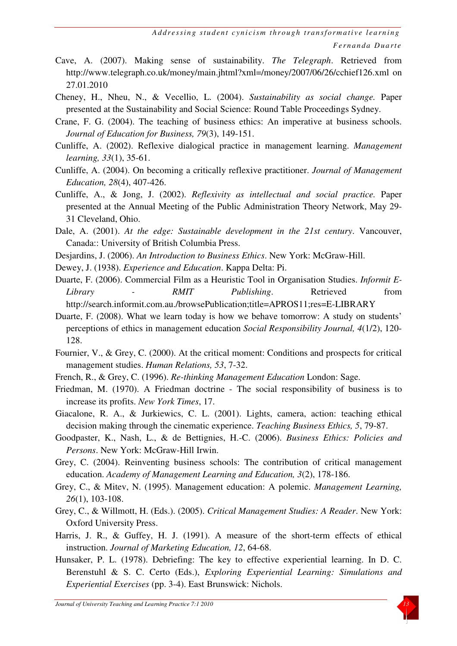- Cave, A. (2007). Making sense of sustainability. *The Telegraph*. Retrieved from http://www.telegraph.co.uk/money/main.jhtml?xml=/money/2007/06/26/cchief126.xml on 27.01.2010
- Cheney, H., Nheu, N., & Vecellio, L. (2004). *Sustainability as social change.* Paper presented at the Sustainability and Social Science: Round Table Proceedings Sydney.
- Crane, F. G. (2004). The teaching of business ethics: An imperative at business schools. *Journal of Education for Business, 79*(3), 149-151.
- Cunliffe, A. (2002). Reflexive dialogical practice in management learning. *Management learning, 33*(1), 35-61.
- Cunliffe, A. (2004). On becoming a critically reflexive practitioner. *Journal of Management Education, 28*(4), 407-426.
- Cunliffe, A., & Jong, J. (2002). *Reflexivity as intellectual and social practice.* Paper presented at the Annual Meeting of the Public Administration Theory Network, May 29- 31 Cleveland, Ohio.
- Dale, A. (2001). *At the edge: Sustainable development in the 21st century*. Vancouver, Canada:: University of British Columbia Press.
- Desjardins, J. (2006). *An Introduction to Business Ethics*. New York: McGraw-Hill.
- Dewey, J. (1938). *Experience and Education*. Kappa Delta: Pi.
- Duarte, F. (2006). Commercial Film as a Heuristic Tool in Organisation Studies. *Informit E-Library - RMIT Publishing*. Retrieved from http://search.informit.com.au./browsePublication;title=APROS11;res=E-LIBRARY
- Duarte, F. (2008). What we learn today is how we behave tomorrow: A study on students' perceptions of ethics in management education *Social Responsibility Journal, 4*(1/2), 120- 128.
- Fournier, V., & Grey, C. (2000). At the critical moment: Conditions and prospects for critical management studies. *Human Relations, 53*, 7-32.
- French, R., & Grey, C. (1996). *Re-thinking Management Education* London: Sage.
- Friedman, M. (1970). A Friedman doctrine The social responsibility of business is to increase its profits. *New York Times*, 17.
- Giacalone, R. A., & Jurkiewics, C. L. (2001). Lights, camera, action: teaching ethical decision making through the cinematic experience. *Teaching Business Ethics, 5*, 79-87.
- Goodpaster, K., Nash, L., & de Bettignies, H.-C. (2006). *Business Ethics: Policies and Persons*. New York: McGraw-Hill Irwin.
- Grey, C. (2004). Reinventing business schools: The contribution of critical management education. *Academy of Management Learning and Education, 3*(2), 178-186.
- Grey, C., & Mitev, N. (1995). Management education: A polemic. *Management Learning, 26*(1), 103-108.
- Grey, C., & Willmott, H. (Eds.). (2005). *Critical Management Studies: A Reader*. New York: Oxford University Press.
- Harris, J. R., & Guffey, H. J. (1991). A measure of the short-term effects of ethical instruction. *Journal of Marketing Education, 12*, 64-68.
- Hunsaker, P. L. (1978). Debriefing: The key to effective experiential learning. In D. C. Berenstuhl & S. C. Certo (Eds.), *Exploring Experiential Learning: Simulations and Experiential Exercises* (pp. 3-4). East Brunswick: Nichols.

*Journal of University Teaching and Learning Practice 7:1 2010* 

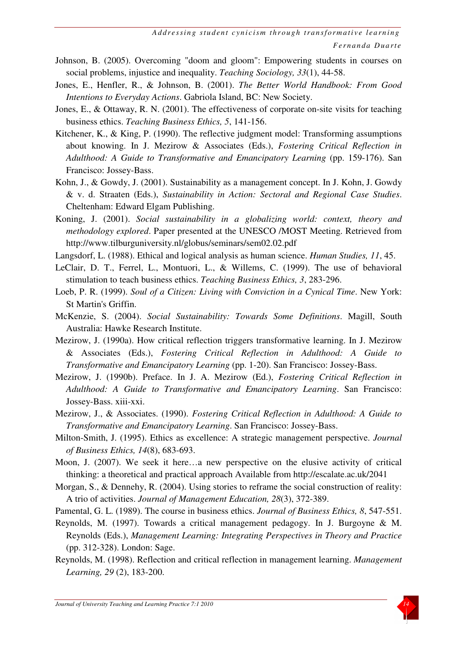- Johnson, B. (2005). Overcoming "doom and gloom": Empowering students in courses on social problems, injustice and inequality. *Teaching Sociology, 33*(1), 44-58.
- Jones, E., Henfler, R., & Johnson, B. (2001). *The Better World Handbook: From Good Intentions to Everyday Actions*. Gabriola Island, BC: New Society.
- Jones, E., & Ottaway, R. N. (2001). The effectiveness of corporate on-site visits for teaching business ethics. *Teaching Business Ethics, 5*, 141-156.
- Kitchener, K., & King, P. (1990). The reflective judgment model: Transforming assumptions about knowing. In J. Mezirow & Associates (Eds.), *Fostering Critical Reflection in Adulthood: A Guide to Transformative and Emancipatory Learning* (pp. 159-176). San Francisco: Jossey-Bass.
- Kohn, J., & Gowdy, J. (2001). Sustainability as a management concept. In J. Kohn, J. Gowdy & v. d. Straaten (Eds.), *Sustainability in Action: Sectoral and Regional Case Studies*. Cheltenham: Edward Elgam Publishing.
- Koning, J. (2001). *Social sustainability in a globalizing world: context, theory and methodology explored*. Paper presented at the UNESCO /MOST Meeting. Retrieved from http://www.tilburguniversity.nl/globus/seminars/sem02.02.pdf
- Langsdorf, L. (1988). Ethical and logical analysis as human science. *Human Studies, 11*, 45.
- LeClair, D. T., Ferrel, L., Montuori, L., & Willems, C. (1999). The use of behavioral stimulation to teach business ethics. *Teaching Business Ethics, 3*, 283-296.
- Loeb, P. R. (1999). *Soul of a Citizen: Living with Conviction in a Cynical Time*. New York: St Martin's Griffin.
- McKenzie, S. (2004). *Social Sustainability: Towards Some Definitions*. Magill, South Australia: Hawke Research Institute.
- Mezirow, J. (1990a). How critical reflection triggers transformative learning. In J. Mezirow & Associates (Eds.), *Fostering Critical Reflection in Adulthood: A Guide to Transformative and Emancipatory Learning* (pp. 1-20). San Francisco: Jossey-Bass.
- Mezirow, J. (1990b). Preface. In J. A. Mezirow (Ed.), *Fostering Critical Reflection in Adulthood: A Guide to Transformative and Emancipatory Learning*. San Francisco: Jossey-Bass. xiii-xxi.
- Mezirow, J., & Associates. (1990). *Fostering Critical Reflection in Adulthood: A Guide to Transformative and Emancipatory Learning*. San Francisco: Jossey-Bass.
- Milton-Smith, J. (1995). Ethics as excellence: A strategic management perspective. *Journal of Business Ethics, 14*(8), 683-693.
- Moon, J. (2007). We seek it here…a new perspective on the elusive activity of critical thinking: a theoretical and practical approach Available from http://escalate.ac.uk/2041
- Morgan, S., & Dennehy, R. (2004). Using stories to reframe the social construction of reality: A trio of activities. *Journal of Management Education, 28*(3), 372-389.
- Pamental, G. L. (1989). The course in business ethics. *Journal of Business Ethics, 8*, 547-551.
- Reynolds, M. (1997). Towards a critical management pedagogy. In J. Burgoyne & M. Reynolds (Eds.), *Management Learning: Integrating Perspectives in Theory and Practice* (pp. 312-328). London: Sage.
- Reynolds, M. (1998). Reflection and critical reflection in management learning. *Management Learning, 29* (2), 183-200.